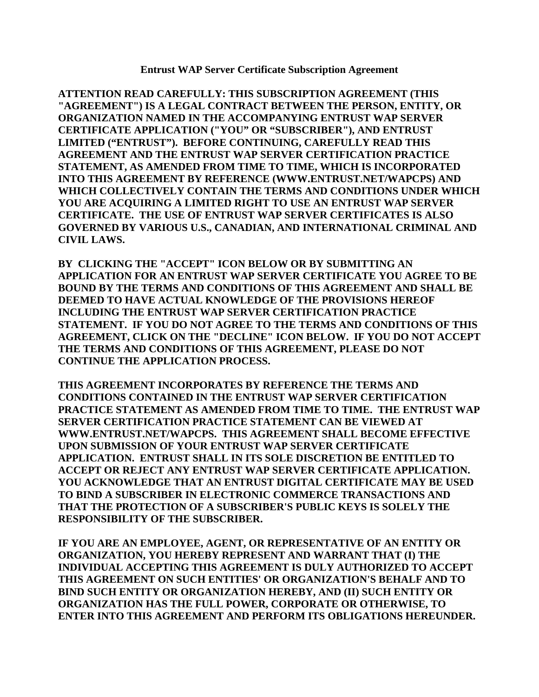**Entrust WAP Server Certificate Subscription Agreement** 

**ATTENTION READ CAREFULLY: THIS SUBSCRIPTION AGREEMENT (THIS "AGREEMENT") IS A LEGAL CONTRACT BETWEEN THE PERSON, ENTITY, OR ORGANIZATION NAMED IN THE ACCOMPANYING ENTRUST WAP SERVER CERTIFICATE APPLICATION ("YOU" OR "SUBSCRIBER"), AND ENTRUST LIMITED ("ENTRUST"). BEFORE CONTINUING, CAREFULLY READ THIS AGREEMENT AND THE ENTRUST WAP SERVER CERTIFICATION PRACTICE STATEMENT, AS AMENDED FROM TIME TO TIME, WHICH IS INCORPORATED INTO THIS AGREEMENT BY REFERENCE (WWW.ENTRUST.NET/WAPCPS) AND WHICH COLLECTIVELY CONTAIN THE TERMS AND CONDITIONS UNDER WHICH YOU ARE ACQUIRING A LIMITED RIGHT TO USE AN ENTRUST WAP SERVER CERTIFICATE. THE USE OF ENTRUST WAP SERVER CERTIFICATES IS ALSO GOVERNED BY VARIOUS U.S., CANADIAN, AND INTERNATIONAL CRIMINAL AND CIVIL LAWS.** 

**BY CLICKING THE "ACCEPT" ICON BELOW OR BY SUBMITTING AN APPLICATION FOR AN ENTRUST WAP SERVER CERTIFICATE YOU AGREE TO BE BOUND BY THE TERMS AND CONDITIONS OF THIS AGREEMENT AND SHALL BE DEEMED TO HAVE ACTUAL KNOWLEDGE OF THE PROVISIONS HEREOF INCLUDING THE ENTRUST WAP SERVER CERTIFICATION PRACTICE STATEMENT. IF YOU DO NOT AGREE TO THE TERMS AND CONDITIONS OF THIS AGREEMENT, CLICK ON THE "DECLINE" ICON BELOW. IF YOU DO NOT ACCEPT THE TERMS AND CONDITIONS OF THIS AGREEMENT, PLEASE DO NOT CONTINUE THE APPLICATION PROCESS.** 

**THIS AGREEMENT INCORPORATES BY REFERENCE THE TERMS AND CONDITIONS CONTAINED IN THE ENTRUST WAP SERVER CERTIFICATION PRACTICE STATEMENT AS AMENDED FROM TIME TO TIME. THE ENTRUST WAP SERVER CERTIFICATION PRACTICE STATEMENT CAN BE VIEWED AT WWW.ENTRUST.NET/WAPCPS. THIS AGREEMENT SHALL BECOME EFFECTIVE UPON SUBMISSION OF YOUR ENTRUST WAP SERVER CERTIFICATE APPLICATION. ENTRUST SHALL IN ITS SOLE DISCRETION BE ENTITLED TO ACCEPT OR REJECT ANY ENTRUST WAP SERVER CERTIFICATE APPLICATION. YOU ACKNOWLEDGE THAT AN ENTRUST DIGITAL CERTIFICATE MAY BE USED TO BIND A SUBSCRIBER IN ELECTRONIC COMMERCE TRANSACTIONS AND THAT THE PROTECTION OF A SUBSCRIBER'S PUBLIC KEYS IS SOLELY THE RESPONSIBILITY OF THE SUBSCRIBER.** 

**IF YOU ARE AN EMPLOYEE, AGENT, OR REPRESENTATIVE OF AN ENTITY OR ORGANIZATION, YOU HEREBY REPRESENT AND WARRANT THAT (I) THE INDIVIDUAL ACCEPTING THIS AGREEMENT IS DULY AUTHORIZED TO ACCEPT THIS AGREEMENT ON SUCH ENTITIES' OR ORGANIZATION'S BEHALF AND TO BIND SUCH ENTITY OR ORGANIZATION HEREBY, AND (II) SUCH ENTITY OR ORGANIZATION HAS THE FULL POWER, CORPORATE OR OTHERWISE, TO ENTER INTO THIS AGREEMENT AND PERFORM ITS OBLIGATIONS HEREUNDER.**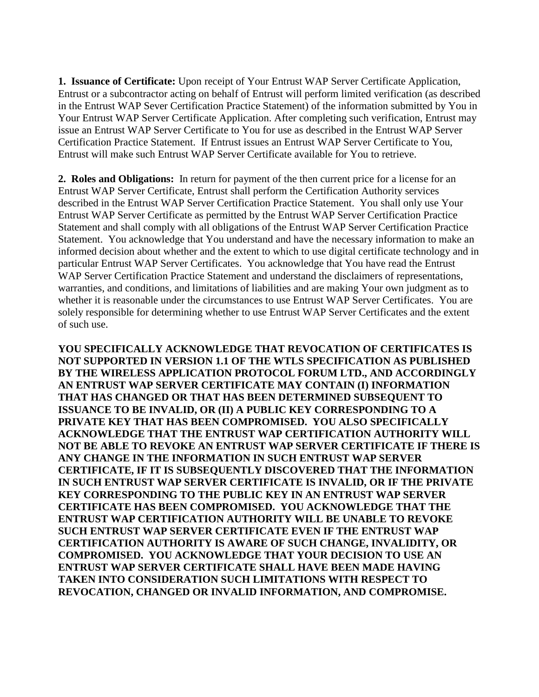**1. Issuance of Certificate:** Upon receipt of Your Entrust WAP Server Certificate Application, Entrust or a subcontractor acting on behalf of Entrust will perform limited verification (as described in the Entrust WAP Sever Certification Practice Statement) of the information submitted by You in Your Entrust WAP Server Certificate Application. After completing such verification, Entrust may issue an Entrust WAP Server Certificate to You for use as described in the Entrust WAP Server Certification Practice Statement. If Entrust issues an Entrust WAP Server Certificate to You, Entrust will make such Entrust WAP Server Certificate available for You to retrieve.

**2. Roles and Obligations:** In return for payment of the then current price for a license for an Entrust WAP Server Certificate, Entrust shall perform the Certification Authority services described in the Entrust WAP Server Certification Practice Statement. You shall only use Your Entrust WAP Server Certificate as permitted by the Entrust WAP Server Certification Practice Statement and shall comply with all obligations of the Entrust WAP Server Certification Practice Statement. You acknowledge that You understand and have the necessary information to make an informed decision about whether and the extent to which to use digital certificate technology and in particular Entrust WAP Server Certificates. You acknowledge that You have read the Entrust WAP Server Certification Practice Statement and understand the disclaimers of representations, warranties, and conditions, and limitations of liabilities and are making Your own judgment as to whether it is reasonable under the circumstances to use Entrust WAP Server Certificates. You are solely responsible for determining whether to use Entrust WAP Server Certificates and the extent of such use.

**YOU SPECIFICALLY ACKNOWLEDGE THAT REVOCATION OF CERTIFICATES IS NOT SUPPORTED IN VERSION 1.1 OF THE WTLS SPECIFICATION AS PUBLISHED BY THE WIRELESS APPLICATION PROTOCOL FORUM LTD., AND ACCORDINGLY AN ENTRUST WAP SERVER CERTIFICATE MAY CONTAIN (I) INFORMATION THAT HAS CHANGED OR THAT HAS BEEN DETERMINED SUBSEQUENT TO ISSUANCE TO BE INVALID, OR (II) A PUBLIC KEY CORRESPONDING TO A PRIVATE KEY THAT HAS BEEN COMPROMISED. YOU ALSO SPECIFICALLY ACKNOWLEDGE THAT THE ENTRUST WAP CERTIFICATION AUTHORITY WILL NOT BE ABLE TO REVOKE AN ENTRUST WAP SERVER CERTIFICATE IF THERE IS ANY CHANGE IN THE INFORMATION IN SUCH ENTRUST WAP SERVER CERTIFICATE, IF IT IS SUBSEQUENTLY DISCOVERED THAT THE INFORMATION IN SUCH ENTRUST WAP SERVER CERTIFICATE IS INVALID, OR IF THE PRIVATE KEY CORRESPONDING TO THE PUBLIC KEY IN AN ENTRUST WAP SERVER CERTIFICATE HAS BEEN COMPROMISED. YOU ACKNOWLEDGE THAT THE ENTRUST WAP CERTIFICATION AUTHORITY WILL BE UNABLE TO REVOKE SUCH ENTRUST WAP SERVER CERTIFICATE EVEN IF THE ENTRUST WAP CERTIFICATION AUTHORITY IS AWARE OF SUCH CHANGE, INVALIDITY, OR COMPROMISED. YOU ACKNOWLEDGE THAT YOUR DECISION TO USE AN ENTRUST WAP SERVER CERTIFICATE SHALL HAVE BEEN MADE HAVING TAKEN INTO CONSIDERATION SUCH LIMITATIONS WITH RESPECT TO REVOCATION, CHANGED OR INVALID INFORMATION, AND COMPROMISE.**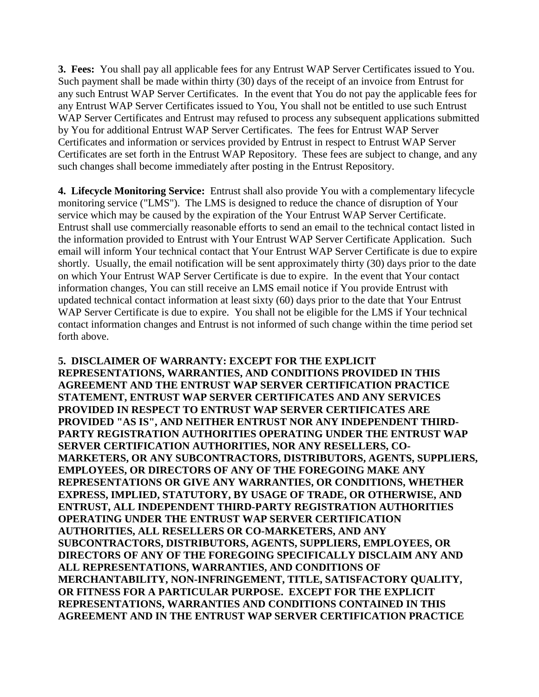**3. Fees:** You shall pay all applicable fees for any Entrust WAP Server Certificates issued to You. Such payment shall be made within thirty (30) days of the receipt of an invoice from Entrust for any such Entrust WAP Server Certificates. In the event that You do not pay the applicable fees for any Entrust WAP Server Certificates issued to You, You shall not be entitled to use such Entrust WAP Server Certificates and Entrust may refused to process any subsequent applications submitted by You for additional Entrust WAP Server Certificates. The fees for Entrust WAP Server Certificates and information or services provided by Entrust in respect to Entrust WAP Server Certificates are set forth in the Entrust WAP Repository. These fees are subject to change, and any such changes shall become immediately after posting in the Entrust Repository.

**4. Lifecycle Monitoring Service:** Entrust shall also provide You with a complementary lifecycle monitoring service ("LMS"). The LMS is designed to reduce the chance of disruption of Your service which may be caused by the expiration of the Your Entrust WAP Server Certificate. Entrust shall use commercially reasonable efforts to send an email to the technical contact listed in the information provided to Entrust with Your Entrust WAP Server Certificate Application. Such email will inform Your technical contact that Your Entrust WAP Server Certificate is due to expire shortly. Usually, the email notification will be sent approximately thirty (30) days prior to the date on which Your Entrust WAP Server Certificate is due to expire. In the event that Your contact information changes, You can still receive an LMS email notice if You provide Entrust with updated technical contact information at least sixty (60) days prior to the date that Your Entrust WAP Server Certificate is due to expire. You shall not be eligible for the LMS if Your technical contact information changes and Entrust is not informed of such change within the time period set forth above.

**5. DISCLAIMER OF WARRANTY: EXCEPT FOR THE EXPLICIT REPRESENTATIONS, WARRANTIES, AND CONDITIONS PROVIDED IN THIS AGREEMENT AND THE ENTRUST WAP SERVER CERTIFICATION PRACTICE STATEMENT, ENTRUST WAP SERVER CERTIFICATES AND ANY SERVICES PROVIDED IN RESPECT TO ENTRUST WAP SERVER CERTIFICATES ARE PROVIDED "AS IS", AND NEITHER ENTRUST NOR ANY INDEPENDENT THIRD-PARTY REGISTRATION AUTHORITIES OPERATING UNDER THE ENTRUST WAP SERVER CERTIFICATION AUTHORITIES, NOR ANY RESELLERS, CO-MARKETERS, OR ANY SUBCONTRACTORS, DISTRIBUTORS, AGENTS, SUPPLIERS, EMPLOYEES, OR DIRECTORS OF ANY OF THE FOREGOING MAKE ANY REPRESENTATIONS OR GIVE ANY WARRANTIES, OR CONDITIONS, WHETHER EXPRESS, IMPLIED, STATUTORY, BY USAGE OF TRADE, OR OTHERWISE, AND ENTRUST, ALL INDEPENDENT THIRD-PARTY REGISTRATION AUTHORITIES OPERATING UNDER THE ENTRUST WAP SERVER CERTIFICATION AUTHORITIES, ALL RESELLERS OR CO-MARKETERS, AND ANY SUBCONTRACTORS, DISTRIBUTORS, AGENTS, SUPPLIERS, EMPLOYEES, OR DIRECTORS OF ANY OF THE FOREGOING SPECIFICALLY DISCLAIM ANY AND ALL REPRESENTATIONS, WARRANTIES, AND CONDITIONS OF MERCHANTABILITY, NON-INFRINGEMENT, TITLE, SATISFACTORY QUALITY, OR FITNESS FOR A PARTICULAR PURPOSE. EXCEPT FOR THE EXPLICIT REPRESENTATIONS, WARRANTIES AND CONDITIONS CONTAINED IN THIS AGREEMENT AND IN THE ENTRUST WAP SERVER CERTIFICATION PRACTICE**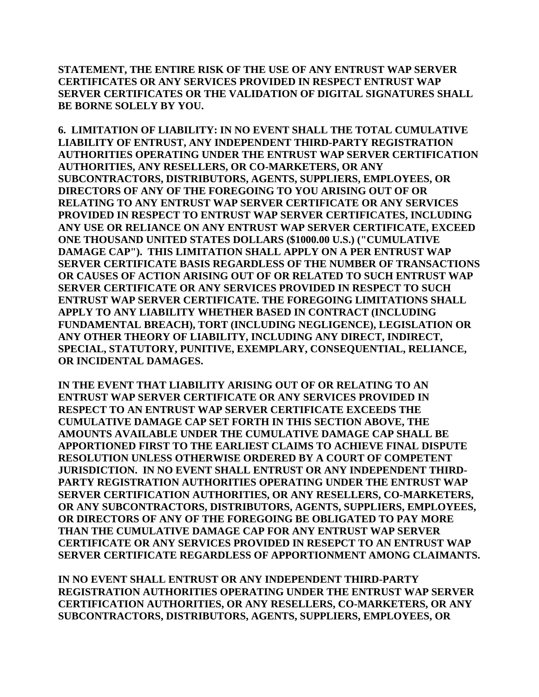**STATEMENT, THE ENTIRE RISK OF THE USE OF ANY ENTRUST WAP SERVER CERTIFICATES OR ANY SERVICES PROVIDED IN RESPECT ENTRUST WAP SERVER CERTIFICATES OR THE VALIDATION OF DIGITAL SIGNATURES SHALL BE BORNE SOLELY BY YOU.** 

**6. LIMITATION OF LIABILITY: IN NO EVENT SHALL THE TOTAL CUMULATIVE LIABILITY OF ENTRUST, ANY INDEPENDENT THIRD-PARTY REGISTRATION AUTHORITIES OPERATING UNDER THE ENTRUST WAP SERVER CERTIFICATION AUTHORITIES, ANY RESELLERS, OR CO-MARKETERS, OR ANY SUBCONTRACTORS, DISTRIBUTORS, AGENTS, SUPPLIERS, EMPLOYEES, OR DIRECTORS OF ANY OF THE FOREGOING TO YOU ARISING OUT OF OR RELATING TO ANY ENTRUST WAP SERVER CERTIFICATE OR ANY SERVICES PROVIDED IN RESPECT TO ENTRUST WAP SERVER CERTIFICATES, INCLUDING ANY USE OR RELIANCE ON ANY ENTRUST WAP SERVER CERTIFICATE, EXCEED ONE THOUSAND UNITED STATES DOLLARS (\$1000.00 U.S.) ("CUMULATIVE DAMAGE CAP"). THIS LIMITATION SHALL APPLY ON A PER ENTRUST WAP SERVER CERTIFICATE BASIS REGARDLESS OF THE NUMBER OF TRANSACTIONS OR CAUSES OF ACTION ARISING OUT OF OR RELATED TO SUCH ENTRUST WAP SERVER CERTIFICATE OR ANY SERVICES PROVIDED IN RESPECT TO SUCH ENTRUST WAP SERVER CERTIFICATE. THE FOREGOING LIMITATIONS SHALL APPLY TO ANY LIABILITY WHETHER BASED IN CONTRACT (INCLUDING FUNDAMENTAL BREACH), TORT (INCLUDING NEGLIGENCE), LEGISLATION OR ANY OTHER THEORY OF LIABILITY, INCLUDING ANY DIRECT, INDIRECT, SPECIAL, STATUTORY, PUNITIVE, EXEMPLARY, CONSEQUENTIAL, RELIANCE, OR INCIDENTAL DAMAGES.** 

**IN THE EVENT THAT LIABILITY ARISING OUT OF OR RELATING TO AN ENTRUST WAP SERVER CERTIFICATE OR ANY SERVICES PROVIDED IN RESPECT TO AN ENTRUST WAP SERVER CERTIFICATE EXCEEDS THE CUMULATIVE DAMAGE CAP SET FORTH IN THIS SECTION ABOVE, THE AMOUNTS AVAILABLE UNDER THE CUMULATIVE DAMAGE CAP SHALL BE APPORTIONED FIRST TO THE EARLIEST CLAIMS TO ACHIEVE FINAL DISPUTE RESOLUTION UNLESS OTHERWISE ORDERED BY A COURT OF COMPETENT JURISDICTION. IN NO EVENT SHALL ENTRUST OR ANY INDEPENDENT THIRD-PARTY REGISTRATION AUTHORITIES OPERATING UNDER THE ENTRUST WAP SERVER CERTIFICATION AUTHORITIES, OR ANY RESELLERS, CO-MARKETERS, OR ANY SUBCONTRACTORS, DISTRIBUTORS, AGENTS, SUPPLIERS, EMPLOYEES, OR DIRECTORS OF ANY OF THE FOREGOING BE OBLIGATED TO PAY MORE THAN THE CUMULATIVE DAMAGE CAP FOR ANY ENTRUST WAP SERVER CERTIFICATE OR ANY SERVICES PROVIDED IN RESEPCT TO AN ENTRUST WAP SERVER CERTIFICATE REGARDLESS OF APPORTIONMENT AMONG CLAIMANTS.** 

**IN NO EVENT SHALL ENTRUST OR ANY INDEPENDENT THIRD-PARTY REGISTRATION AUTHORITIES OPERATING UNDER THE ENTRUST WAP SERVER CERTIFICATION AUTHORITIES, OR ANY RESELLERS, CO-MARKETERS, OR ANY SUBCONTRACTORS, DISTRIBUTORS, AGENTS, SUPPLIERS, EMPLOYEES, OR**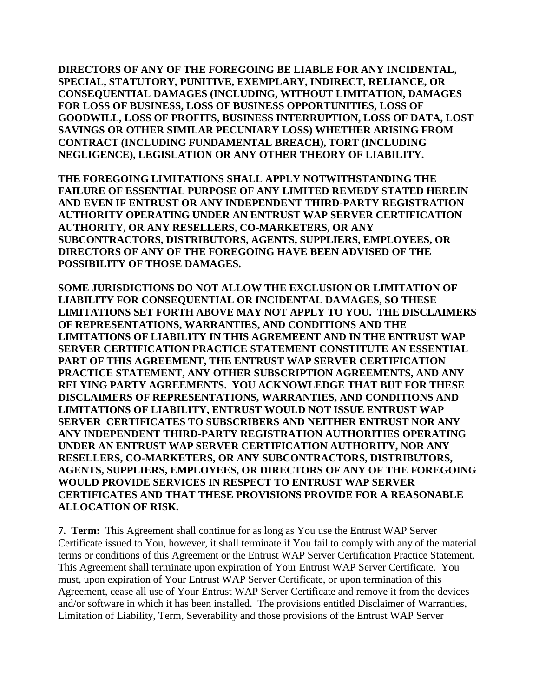**DIRECTORS OF ANY OF THE FOREGOING BE LIABLE FOR ANY INCIDENTAL, SPECIAL, STATUTORY, PUNITIVE, EXEMPLARY, INDIRECT, RELIANCE, OR CONSEQUENTIAL DAMAGES (INCLUDING, WITHOUT LIMITATION, DAMAGES FOR LOSS OF BUSINESS, LOSS OF BUSINESS OPPORTUNITIES, LOSS OF GOODWILL, LOSS OF PROFITS, BUSINESS INTERRUPTION, LOSS OF DATA, LOST SAVINGS OR OTHER SIMILAR PECUNIARY LOSS) WHETHER ARISING FROM CONTRACT (INCLUDING FUNDAMENTAL BREACH), TORT (INCLUDING NEGLIGENCE), LEGISLATION OR ANY OTHER THEORY OF LIABILITY.** 

**THE FOREGOING LIMITATIONS SHALL APPLY NOTWITHSTANDING THE FAILURE OF ESSENTIAL PURPOSE OF ANY LIMITED REMEDY STATED HEREIN AND EVEN IF ENTRUST OR ANY INDEPENDENT THIRD-PARTY REGISTRATION AUTHORITY OPERATING UNDER AN ENTRUST WAP SERVER CERTIFICATION AUTHORITY, OR ANY RESELLERS, CO-MARKETERS, OR ANY SUBCONTRACTORS, DISTRIBUTORS, AGENTS, SUPPLIERS, EMPLOYEES, OR DIRECTORS OF ANY OF THE FOREGOING HAVE BEEN ADVISED OF THE POSSIBILITY OF THOSE DAMAGES.** 

**SOME JURISDICTIONS DO NOT ALLOW THE EXCLUSION OR LIMITATION OF LIABILITY FOR CONSEQUENTIAL OR INCIDENTAL DAMAGES, SO THESE LIMITATIONS SET FORTH ABOVE MAY NOT APPLY TO YOU. THE DISCLAIMERS OF REPRESENTATIONS, WARRANTIES, AND CONDITIONS AND THE LIMITATIONS OF LIABILITY IN THIS AGREMEENT AND IN THE ENTRUST WAP SERVER CERTIFICATION PRACTICE STATEMENT CONSTITUTE AN ESSENTIAL PART OF THIS AGREEMENT, THE ENTRUST WAP SERVER CERTIFICATION PRACTICE STATEMENT, ANY OTHER SUBSCRIPTION AGREEMENTS, AND ANY RELYING PARTY AGREEMENTS. YOU ACKNOWLEDGE THAT BUT FOR THESE DISCLAIMERS OF REPRESENTATIONS, WARRANTIES, AND CONDITIONS AND LIMITATIONS OF LIABILITY, ENTRUST WOULD NOT ISSUE ENTRUST WAP SERVER CERTIFICATES TO SUBSCRIBERS AND NEITHER ENTRUST NOR ANY ANY INDEPENDENT THIRD-PARTY REGISTRATION AUTHORITIES OPERATING UNDER AN ENTRUST WAP SERVER CERTIFICATION AUTHORITY, NOR ANY RESELLERS, CO-MARKETERS, OR ANY SUBCONTRACTORS, DISTRIBUTORS, AGENTS, SUPPLIERS, EMPLOYEES, OR DIRECTORS OF ANY OF THE FOREGOING WOULD PROVIDE SERVICES IN RESPECT TO ENTRUST WAP SERVER CERTIFICATES AND THAT THESE PROVISIONS PROVIDE FOR A REASONABLE ALLOCATION OF RISK.**

**7. Term:** This Agreement shall continue for as long as You use the Entrust WAP Server Certificate issued to You, however, it shall terminate if You fail to comply with any of the material terms or conditions of this Agreement or the Entrust WAP Server Certification Practice Statement. This Agreement shall terminate upon expiration of Your Entrust WAP Server Certificate. You must, upon expiration of Your Entrust WAP Server Certificate, or upon termination of this Agreement, cease all use of Your Entrust WAP Server Certificate and remove it from the devices and/or software in which it has been installed. The provisions entitled Disclaimer of Warranties, Limitation of Liability, Term, Severability and those provisions of the Entrust WAP Server